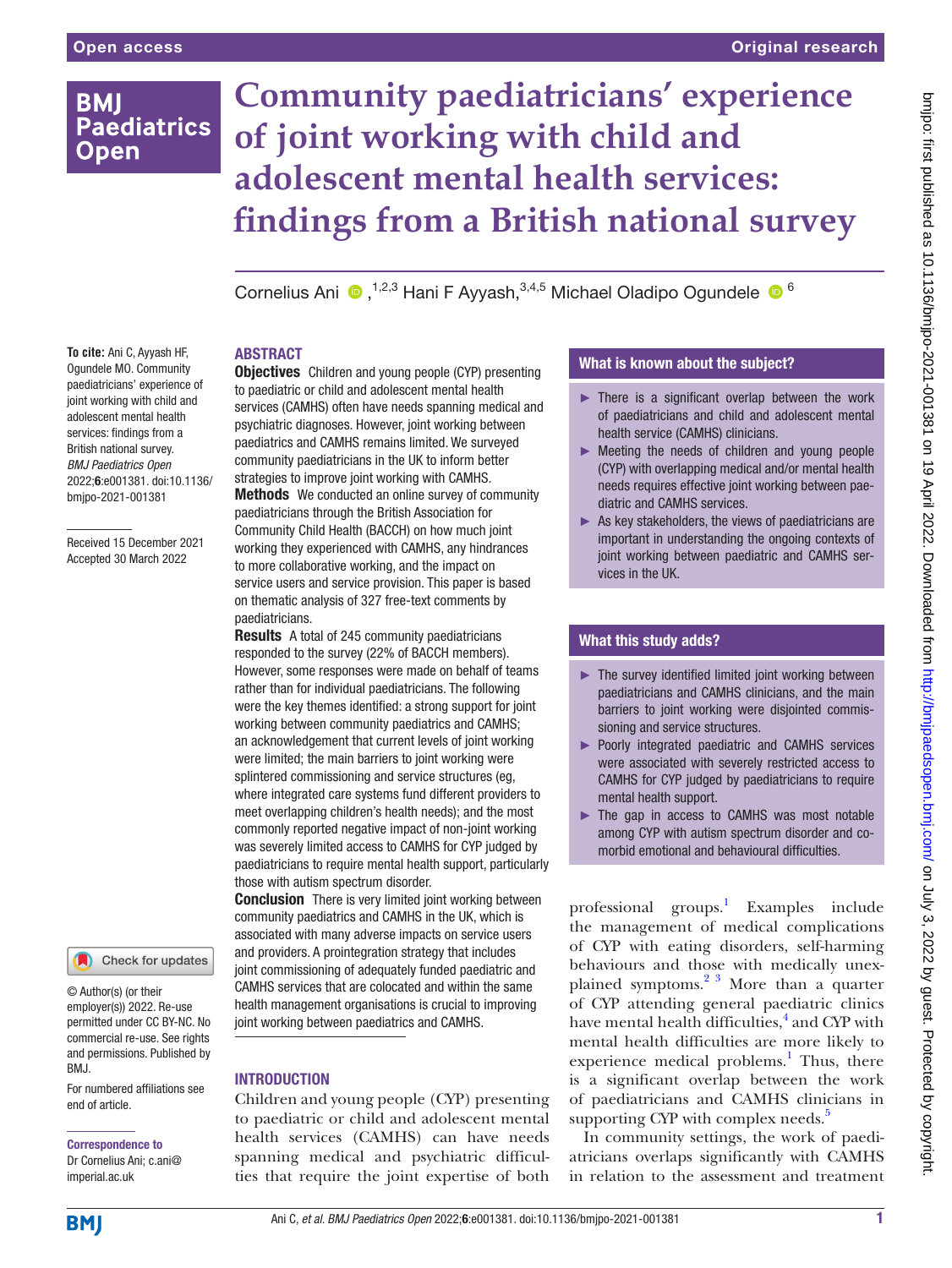# **BMI Paediatrics Open**

# **Community paediatricians' experience of joint working with child and adolescent mental health services: findings from a British national survey**

CorneliusAni  $\bullet$ ,<sup>1,2,3</sup> Hani F Ayyash,<sup>3,4,5</sup> Michael Oladipo Ogundele  $\bullet$ <sup>6</sup>

# **ABSTRACT**

**To cite:** Ani C, Ayyash HF, Ogundele MO. Community paediatricians' experience of joint working with child and adolescent mental health services: findings from a British national survey. *BMJ Paediatrics Open* 2022;6:e001381. doi:10.1136/ bmjpo-2021-001381

Received 15 December 2021 Accepted 30 March 2022

Check for updates

© Author(s) (or their employer(s)) 2022. Re-use permitted under CC BY-NC. No commercial re-use. See rights and permissions. Published by BMJ.

For numbered affiliations see end of article.

# Correspondence to

Dr Cornelius Ani; c.ani@ imperial.ac.uk

**Objectives** Children and young people (CYP) presenting to paediatric or child and adolescent mental health services (CAMHS) often have needs spanning medical and psychiatric diagnoses. However, joint working between paediatrics and CAMHS remains limited. We surveyed community paediatricians in the UK to inform better strategies to improve joint working with CAMHS. Methods We conducted an online survey of community

paediatricians through the British Association for Community Child Health (BACCH) on how much joint working they experienced with CAMHS, any hindrances to more collaborative working, and the impact on service users and service provision. This paper is based on thematic analysis of 327 free-text comments by paediatricians.

Results A total of 245 community paediatricians responded to the survey (22% of BACCH members). However, some responses were made on behalf of teams rather than for individual paediatricians. The following were the key themes identified: a strong support for joint working between community paediatrics and CAMHS; an acknowledgement that current levels of joint working were limited; the main barriers to joint working were splintered commissioning and service structures (eg, where integrated care systems fund different providers to meet overlapping children's health needs); and the most commonly reported negative impact of non-joint working was severely limited access to CAMHS for CYP judged by paediatricians to require mental health support, particularly those with autism spectrum disorder.

**Conclusion** There is very limited joint working between community paediatrics and CAMHS in the UK, which is associated with many adverse impacts on service users and providers. A prointegration strategy that includes joint commissioning of adequately funded paediatric and CAMHS services that are colocated and within the same health management organisations is crucial to improving joint working between paediatrics and CAMHS.

# **INTRODUCTION**

Children and young people (CYP) presenting to paediatric or child and adolescent mental health services (CAMHS) can have needs spanning medical and psychiatric difficulties that require the joint expertise of both

# What is known about the subject?

- $\blacktriangleright$  There is a significant overlap between the work of paediatricians and child and adolescent mental health service (CAMHS) clinicians.
- ► Meeting the needs of children and young people (CYP) with overlapping medical and/or mental health needs requires effective joint working between paediatric and CAMHS services.
- $\blacktriangleright$  As key stakeholders, the views of paediatricians are important in understanding the ongoing contexts of joint working between paediatric and CAMHS services in the UK.

# What this study adds?

- ► The survey identified limited joint working between paediatricians and CAMHS clinicians, and the main barriers to joint working were disjointed commissioning and service structures.
- ► Poorly integrated paediatric and CAMHS services were associated with severely restricted access to CAMHS for CYP judged by paediatricians to require mental health support.
- ► The gap in access to CAMHS was most notable among CYP with autism spectrum disorder and comorbid emotional and behavioural difficulties.

professional groups.<sup>1</sup> Examples include the management of medical complications of CYP with eating disorders, self-harming behaviours and those with medically unexplained symptoms. $2^{3}$  More than a quarter of CYP attending general paediatric clinics have mental health difficulties,<sup>[4](#page-8-1)</sup> and CYP with mental health difficulties are more likely to experience medical problems.<sup>[1](#page-8-2)</sup> Thus, there is a significant overlap between the work of paediatricians and CAMHS clinicians in supporting CYP with complex needs.<sup>[5](#page-8-3)</sup>

In community settings, the work of paediatricians overlaps significantly with CAMHS in relation to the assessment and treatment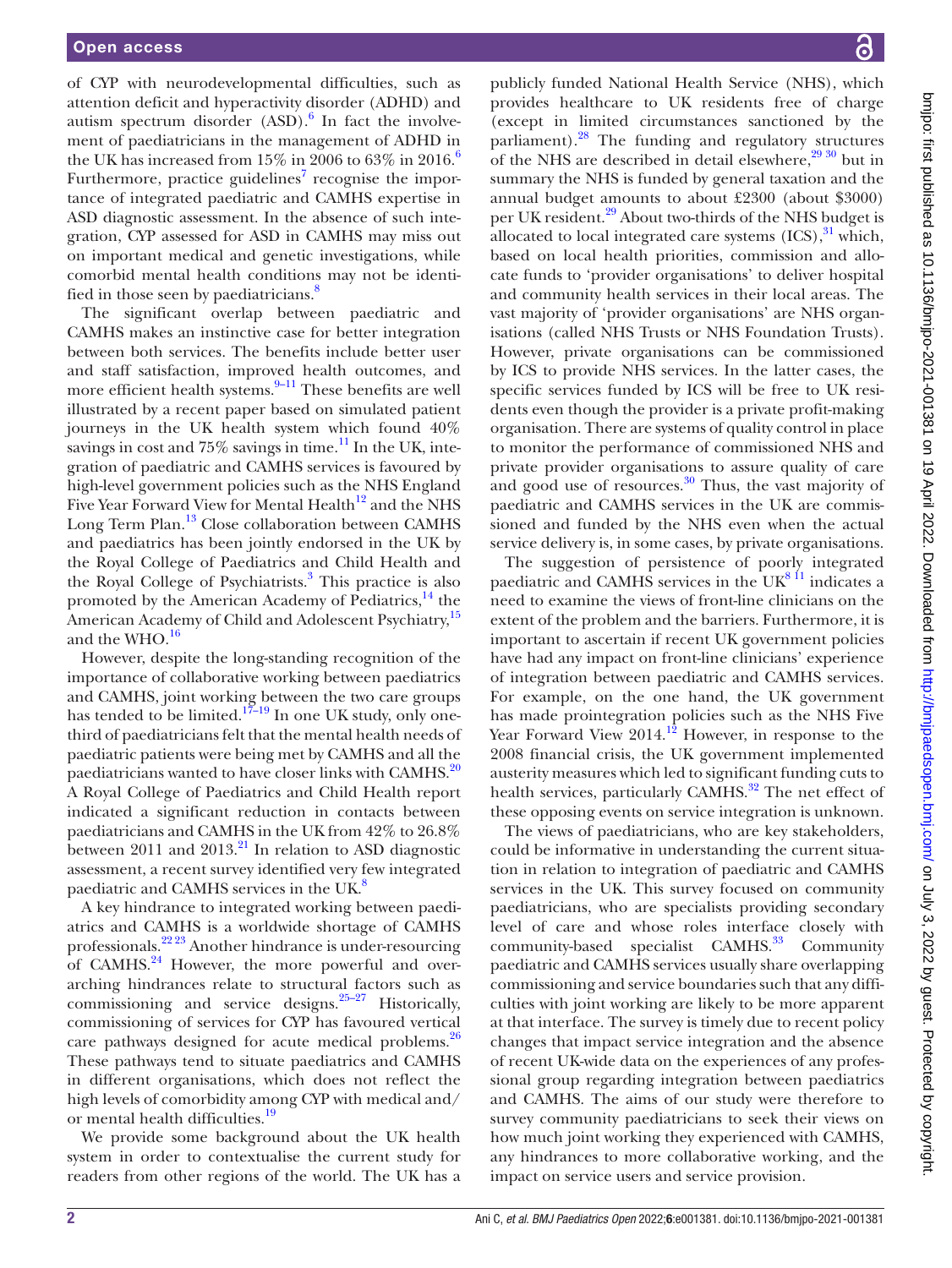of CYP with neurodevelopmental difficulties, such as attention deficit and hyperactivity disorder (ADHD) and autism spectrum disorder  $(ASD)$ .<sup>6</sup> In fact the involvement of paediatricians in the management of ADHD in the UK has increased from  $15\%$  in 200[6](#page-8-4) to 63% in 2016.<sup>6</sup> Furthermore, practice guidelines<sup>7</sup> recognise the importance of integrated paediatric and CAMHS expertise in ASD diagnostic assessment. In the absence of such integration, CYP assessed for ASD in CAMHS may miss out on important medical and genetic investigations, while comorbid mental health conditions may not be identi-fied in those seen by paediatricians.<sup>[8](#page-8-6)</sup>

The significant overlap between paediatric and CAMHS makes an instinctive case for better integration between both services. The benefits include better user and staff satisfaction, improved health outcomes, and more efficient health systems. $9-11$  These benefits are well illustrated by a recent paper based on simulated patient journeys in the UK health system which found 40% savings in cost and  $75\%$  savings in time.<sup>11</sup> In the UK, integration of paediatric and CAMHS services is favoured by high-level government policies such as the NHS England Five Year Forward View for Mental Health<sup>[12](#page-8-9)</sup> and the NHS Long Term Plan.<sup>13</sup> Close collaboration between CAMHS and paediatrics has been jointly endorsed in the UK by the Royal College of Paediatrics and Child Health and the Royal College of Psychiatrists.<sup>3</sup> This practice is also promoted by the American Academy of Pediatrics, $^{14}$  the American Academy of Child and Adolescent Psychiatry,<sup>15</sup> and the WHO.<sup>[16](#page-8-14)</sup>

However, despite the long-standing recognition of the importance of collaborative working between paediatrics and CAMHS, joint working between the two care groups has tended to be limited.<sup>17–19</sup> In one UK study, only onethird of paediatricians felt that the mental health needs of paediatric patients were being met by CAMHS and all the paediatricians wanted to have closer links with CAMHS.<sup>20</sup> A Royal College of Paediatrics and Child Health report indicated a significant reduction in contacts between paediatricians and CAMHS in the UK from 42% to 26.8% between 2011 and  $2013$ .<sup>21</sup> In relation to ASD diagnostic assessment, a recent survey identified very few integrated paediatric and CAMHS services in the UK.<sup>8</sup>

A key hindrance to integrated working between paediatrics and CAMHS is a worldwide shortage of CAMHS professionals.[22 23](#page-8-18) Another hindrance is under-resourcing of CAMHS. $^{24}$  However, the more powerful and overarching hindrances relate to structural factors such as commissioning and service designs. $25-27$  Historically, commissioning of services for CYP has favoured vertical care pathways designed for acute medical problems.<sup>26</sup> These pathways tend to situate paediatrics and CAMHS in different organisations, which does not reflect the high levels of comorbidity among CYP with medical and/ or mental health difficulties.<sup>[19](#page-8-22)</sup>

We provide some background about the UK health system in order to contextualise the current study for readers from other regions of the world. The UK has a

publicly funded National Health Service (NHS), which provides healthcare to UK residents free of charge (except in limited circumstances sanctioned by the parliament).<sup>28</sup> The funding and regulatory structures of the NHS are described in detail elsewhere, $29\frac{30}{10}$  but in summary the NHS is funded by general taxation and the annual budget amounts to about £2300 (about \$3000) per UK resident.<sup>29</sup> About two-thirds of the NHS budget is allocated to local integrated care systems  $(ICS),$ <sup>[31](#page-8-25)</sup> which, based on local health priorities, commission and allocate funds to 'provider organisations' to deliver hospital and community health services in their local areas. The vast majority of 'provider organisations' are NHS organisations (called NHS Trusts or NHS Foundation Trusts). However, private organisations can be commissioned by ICS to provide NHS services. In the latter cases, the specific services funded by ICS will be free to UK residents even though the provider is a private profit-making organisation. There are systems of quality control in place to monitor the performance of commissioned NHS and private provider organisations to assure quality of care and good use of resources. $30$  Thus, the vast majority of paediatric and CAMHS services in the UK are commissioned and funded by the NHS even when the actual service delivery is, in some cases, by private organisations.

The suggestion of persistence of poorly integrated paediatric and CAMHS services in the  $\overline{\text{UK}^{\text{8 I1}}}$  indicates a need to examine the views of front-line clinicians on the extent of the problem and the barriers. Furthermore, it is important to ascertain if recent UK government policies have had any impact on front-line clinicians' experience of integration between paediatric and CAMHS services. For example, on the one hand, the UK government has made prointegration policies such as the NHS Five Year Forward View  $2014$ .<sup>12</sup> However, in response to the 2008 financial crisis, the UK government implemented austerity measures which led to significant funding cuts to health services, particularly CAMHS.<sup>32</sup> The net effect of these opposing events on service integration is unknown.

The views of paediatricians, who are key stakeholders, could be informative in understanding the current situation in relation to integration of paediatric and CAMHS services in the UK. This survey focused on community paediatricians, who are specialists providing secondary level of care and whose roles interface closely with community-based specialist CAMHS.<sup>33</sup> Community paediatric and CAMHS services usually share overlapping commissioning and service boundaries such that any difficulties with joint working are likely to be more apparent at that interface. The survey is timely due to recent policy changes that impact service integration and the absence of recent UK-wide data on the experiences of any professional group regarding integration between paediatrics and CAMHS. The aims of our study were therefore to survey community paediatricians to seek their views on how much joint working they experienced with CAMHS, any hindrances to more collaborative working, and the impact on service users and service provision.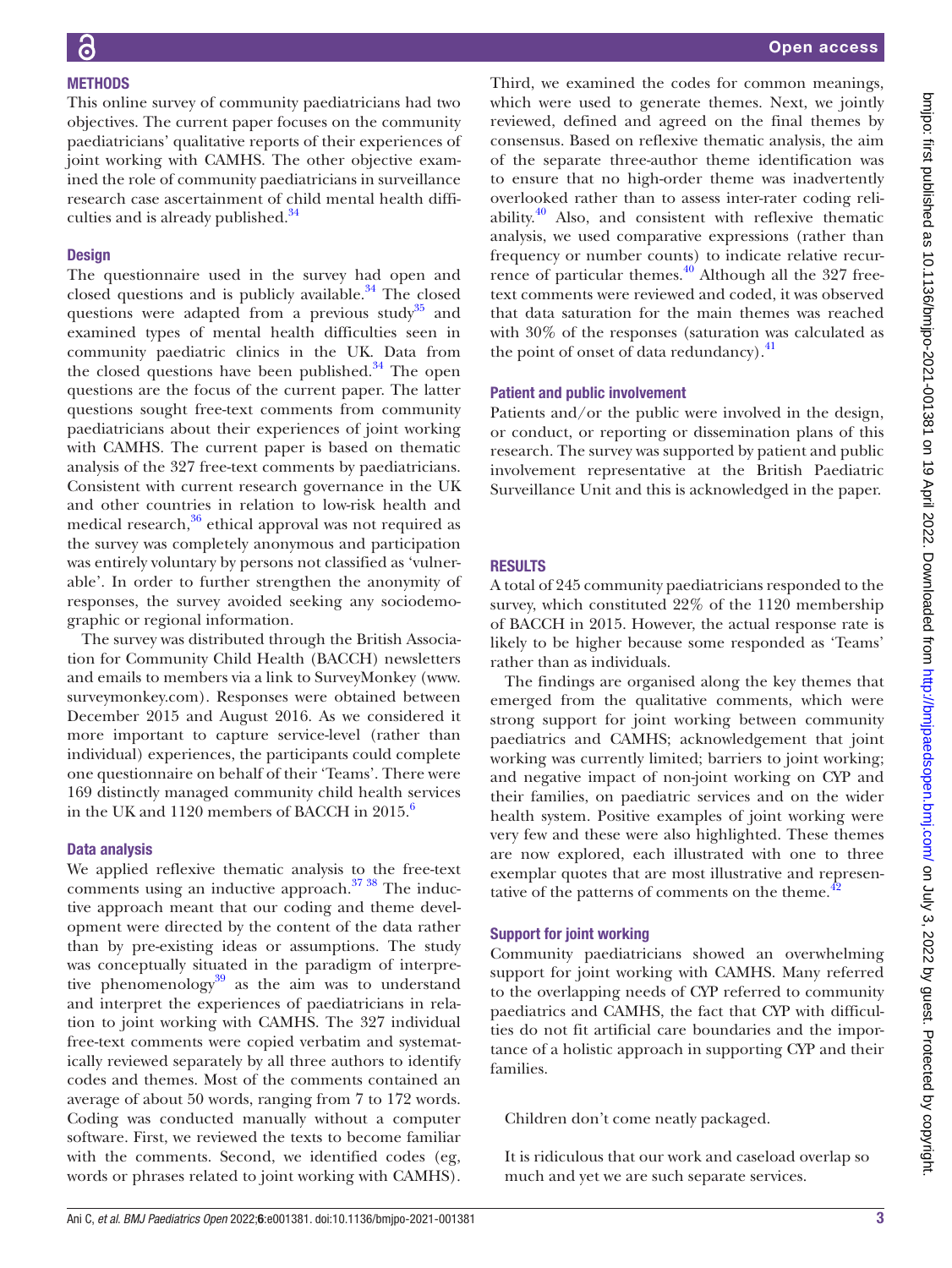# **METHODS**

This online survey of community paediatricians had two objectives. The current paper focuses on the community paediatricians' qualitative reports of their experiences of joint working with CAMHS. The other objective examined the role of community paediatricians in surveillance research case ascertainment of child mental health difficulties and is already published.<sup>34</sup>

## **Design**

The questionnaire used in the survey had open and closed questions and is publicly available.<sup>[34](#page-9-1)</sup> The closed questions were adapted from a previous study<sup>35</sup> and examined types of mental health difficulties seen in community paediatric clinics in the UK. Data from the closed questions have been published. $34$  The open questions are the focus of the current paper. The latter questions sought free-text comments from community paediatricians about their experiences of joint working with CAMHS. The current paper is based on thematic analysis of the 327 free-text comments by paediatricians. Consistent with current research governance in the UK and other countries in relation to low-risk health and medical research,<sup>[36](#page-9-3)</sup> ethical approval was not required as the survey was completely anonymous and participation was entirely voluntary by persons not classified as 'vulnerable'. In order to further strengthen the anonymity of responses, the survey avoided seeking any sociodemographic or regional information.

The survey was distributed through the British Association for Community Child Health (BACCH) newsletters and emails to members via a link to SurveyMonkey [\(www.](www.surveymonkey.com) [surveymonkey.com](www.surveymonkey.com)). Responses were obtained between December 2015 and August 2016. As we considered it more important to capture service-level (rather than individual) experiences, the participants could complete one questionnaire on behalf of their 'Teams'. There were 169 distinctly managed community child health services in the UK and  $1120$  members of BACCH in  $2015<sup>6</sup>$ .

#### Data analysis

We applied reflexive thematic analysis to the free-text comments using an inductive approach.<sup>37</sup><sup>38</sup> The inductive approach meant that our coding and theme development were directed by the content of the data rather than by pre-existing ideas or assumptions. The study was conceptually situated in the paradigm of interpretive phenomenology $39$  as the aim was to understand and interpret the experiences of paediatricians in relation to joint working with CAMHS. The 327 individual free-text comments were copied verbatim and systematically reviewed separately by all three authors to identify codes and themes. Most of the comments contained an average of about 50 words, ranging from 7 to 172 words. Coding was conducted manually without a computer software. First, we reviewed the texts to become familiar with the comments. Second, we identified codes (eg, words or phrases related to joint working with CAMHS).

Third, we examined the codes for common meanings, which were used to generate themes. Next, we jointly reviewed, defined and agreed on the final themes by consensus. Based on reflexive thematic analysis, the aim of the separate three-author theme identification was to ensure that no high-order theme was inadvertently overlooked rather than to assess inter-rater coding reliability. $40$  Also, and consistent with reflexive thematic analysis, we used comparative expressions (rather than frequency or number counts) to indicate relative recurrence of particular themes. $\frac{40}{10}$  $\frac{40}{10}$  $\frac{40}{10}$  Although all the 327 freetext comments were reviewed and coded, it was observed that data saturation for the main themes was reached with 30% of the responses (saturation was calculated as the point of onset of data redundancy. $^{41}$  $^{41}$  $^{41}$ 

## Patient and public involvement

Patients and/or the public were involved in the design, or conduct, or reporting or dissemination plans of this research. The survey was supported by patient and public involvement representative at the British Paediatric Surveillance Unit and this is acknowledged in the paper.

# RESULTS

A total of 245 community paediatricians responded to the survey, which constituted 22% of the 1120 membership of BACCH in 2015. However, the actual response rate is likely to be higher because some responded as 'Teams' rather than as individuals.

The findings are organised along the key themes that emerged from the qualitative comments, which were strong support for joint working between community paediatrics and CAMHS; acknowledgement that joint working was currently limited; barriers to joint working; and negative impact of non-joint working on CYP and their families, on paediatric services and on the wider health system. Positive examples of joint working were very few and these were also highlighted. These themes are now explored, each illustrated with one to three exemplar quotes that are most illustrative and representative of the patterns of comments on the theme. $42$ 

## Support for joint working

Community paediatricians showed an overwhelming support for joint working with CAMHS. Many referred to the overlapping needs of CYP referred to community paediatrics and CAMHS, the fact that CYP with difficulties do not fit artificial care boundaries and the importance of a holistic approach in supporting CYP and their families.

Children don't come neatly packaged.

It is ridiculous that our work and caseload overlap so much and yet we are such separate services.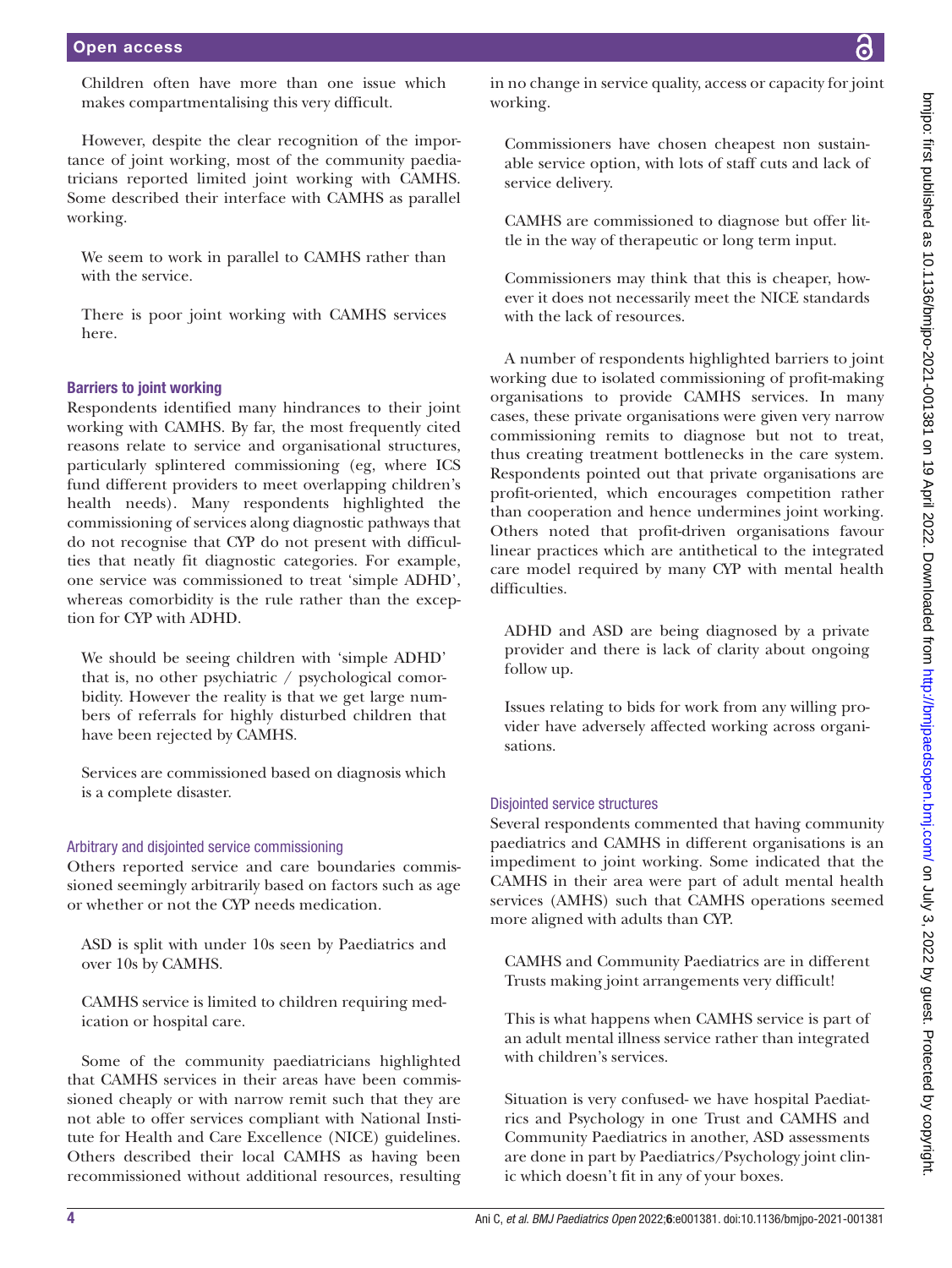Children often have more than one issue which makes compartmentalising this very difficult.

However, despite the clear recognition of the importance of joint working, most of the community paediatricians reported limited joint working with CAMHS. Some described their interface with CAMHS as parallel working.

We seem to work in parallel to CAMHS rather than with the service.

There is poor joint working with CAMHS services here.

#### Barriers to joint working

Respondents identified many hindrances to their joint working with CAMHS. By far, the most frequently cited reasons relate to service and organisational structures, particularly splintered commissioning (eg, where ICS fund different providers to meet overlapping children's health needs). Many respondents highlighted the commissioning of services along diagnostic pathways that do not recognise that CYP do not present with difficulties that neatly fit diagnostic categories. For example, one service was commissioned to treat 'simple ADHD', whereas comorbidity is the rule rather than the exception for CYP with ADHD.

We should be seeing children with 'simple ADHD' that is, no other psychiatric / psychological comorbidity. However the reality is that we get large numbers of referrals for highly disturbed children that have been rejected by CAMHS.

Services are commissioned based on diagnosis which is a complete disaster.

#### Arbitrary and disjointed service commissioning

Others reported service and care boundaries commissioned seemingly arbitrarily based on factors such as age or whether or not the CYP needs medication.

ASD is split with under 10s seen by Paediatrics and over 10s by CAMHS.

CAMHS service is limited to children requiring medication or hospital care.

Some of the community paediatricians highlighted that CAMHS services in their areas have been commissioned cheaply or with narrow remit such that they are not able to offer services compliant with National Institute for Health and Care Excellence (NICE) guidelines. Others described their local CAMHS as having been recommissioned without additional resources, resulting

in no change in service quality, access or capacity for joint working.

Commissioners have chosen cheapest non sustainable service option, with lots of staff cuts and lack of service delivery.

CAMHS are commissioned to diagnose but offer little in the way of therapeutic or long term input.

Commissioners may think that this is cheaper, however it does not necessarily meet the NICE standards with the lack of resources.

A number of respondents highlighted barriers to joint working due to isolated commissioning of profit-making organisations to provide CAMHS services. In many cases, these private organisations were given very narrow commissioning remits to diagnose but not to treat, thus creating treatment bottlenecks in the care system. Respondents pointed out that private organisations are profit-oriented, which encourages competition rather than cooperation and hence undermines joint working. Others noted that profit-driven organisations favour linear practices which are antithetical to the integrated care model required by many CYP with mental health difficulties.

ADHD and ASD are being diagnosed by a private provider and there is lack of clarity about ongoing follow up.

Issues relating to bids for work from any willing provider have adversely affected working across organisations.

#### Disjointed service structures

Several respondents commented that having community paediatrics and CAMHS in different organisations is an impediment to joint working. Some indicated that the CAMHS in their area were part of adult mental health services (AMHS) such that CAMHS operations seemed more aligned with adults than CYP.

CAMHS and Community Paediatrics are in different Trusts making joint arrangements very difficult!

This is what happens when CAMHS service is part of an adult mental illness service rather than integrated with children's services.

Situation is very confused- we have hospital Paediatrics and Psychology in one Trust and CAMHS and Community Paediatrics in another, ASD assessments are done in part by Paediatrics/Psychology joint clinic which doesn't fit in any of your boxes.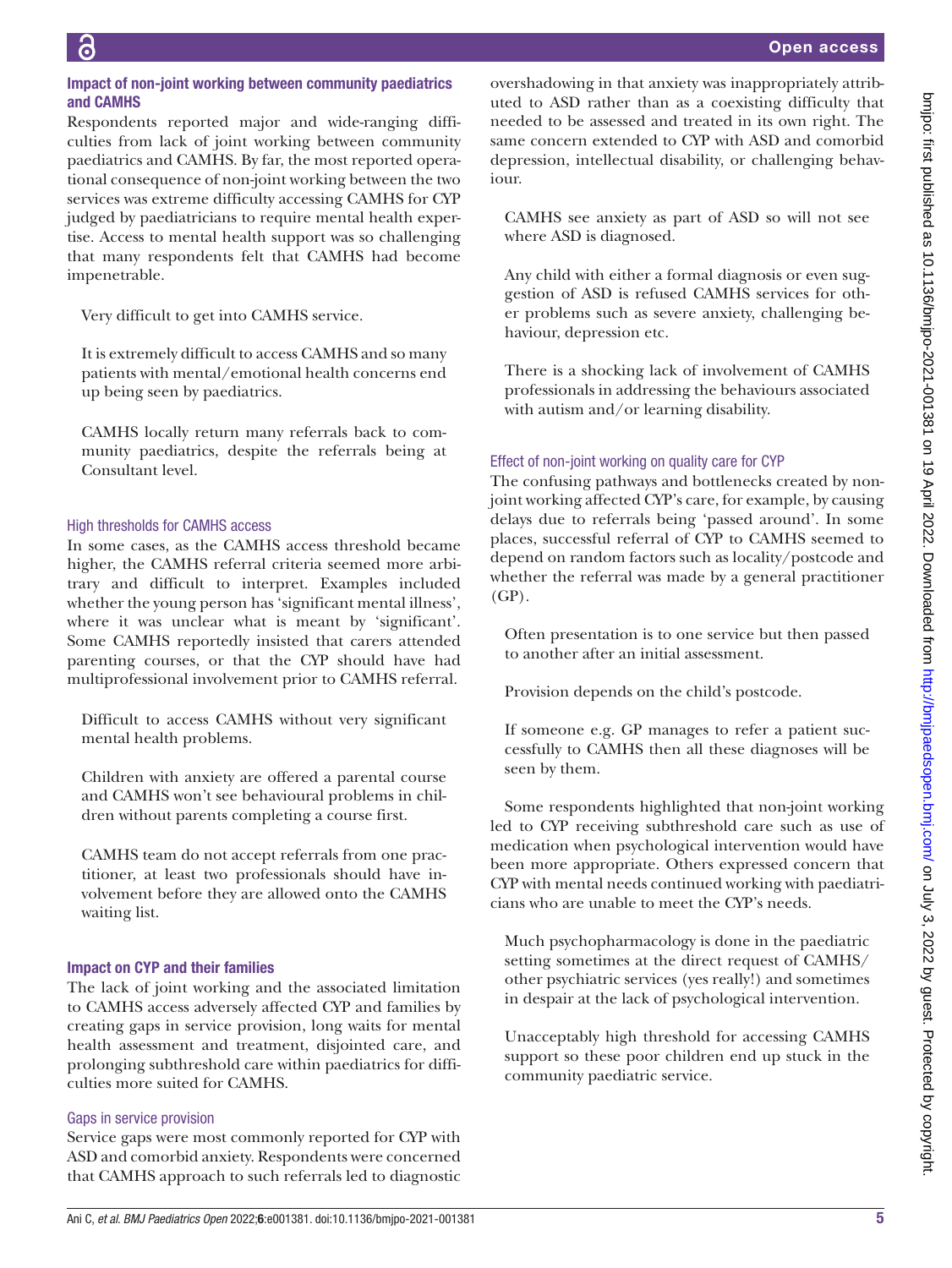# Impact of non-joint working between community paediatrics and CAMHS

Respondents reported major and wide-ranging difficulties from lack of joint working between community paediatrics and CAMHS. By far, the most reported operational consequence of non-joint working between the two services was extreme difficulty accessing CAMHS for CYP judged by paediatricians to require mental health expertise. Access to mental health support was so challenging that many respondents felt that CAMHS had become impenetrable.

Very difficult to get into CAMHS service.

It is extremely difficult to access CAMHS and so many patients with mental/emotional health concerns end up being seen by paediatrics.

CAMHS locally return many referrals back to community paediatrics, despite the referrals being at Consultant level.

# High thresholds for CAMHS access

In some cases, as the CAMHS access threshold became higher, the CAMHS referral criteria seemed more arbitrary and difficult to interpret. Examples included whether the young person has 'significant mental illness', where it was unclear what is meant by 'significant'. Some CAMHS reportedly insisted that carers attended parenting courses, or that the CYP should have had multiprofessional involvement prior to CAMHS referral.

Difficult to access CAMHS without very significant mental health problems.

Children with anxiety are offered a parental course and CAMHS won't see behavioural problems in children without parents completing a course first.

CAMHS team do not accept referrals from one practitioner, at least two professionals should have involvement before they are allowed onto the CAMHS waiting list.

# Impact on CYP and their families

The lack of joint working and the associated limitation to CAMHS access adversely affected CYP and families by creating gaps in service provision, long waits for mental health assessment and treatment, disjointed care, and prolonging subthreshold care within paediatrics for difficulties more suited for CAMHS.

## Gaps in service provision

Service gaps were most commonly reported for CYP with ASD and comorbid anxiety. Respondents were concerned that CAMHS approach to such referrals led to diagnostic overshadowing in that anxiety was inappropriately attributed to ASD rather than as a coexisting difficulty that needed to be assessed and treated in its own right. The same concern extended to CYP with ASD and comorbid depression, intellectual disability, or challenging behaviour.

CAMHS see anxiety as part of ASD so will not see where ASD is diagnosed.

Any child with either a formal diagnosis or even suggestion of ASD is refused CAMHS services for other problems such as severe anxiety, challenging behaviour, depression etc.

There is a shocking lack of involvement of CAMHS professionals in addressing the behaviours associated with autism and/or learning disability.

# Effect of non-joint working on quality care for CYP

The confusing pathways and bottlenecks created by nonjoint working affected CYP's care, for example, by causing delays due to referrals being 'passed around'. In some places, successful referral of CYP to CAMHS seemed to depend on random factors such as locality/postcode and whether the referral was made by a general practitioner (GP).

Often presentation is to one service but then passed to another after an initial assessment.

Provision depends on the child's postcode.

If someone e.g. GP manages to refer a patient successfully to CAMHS then all these diagnoses will be seen by them.

Some respondents highlighted that non-joint working led to CYP receiving subthreshold care such as use of medication when psychological intervention would have been more appropriate. Others expressed concern that CYP with mental needs continued working with paediatricians who are unable to meet the CYP's needs.

Much psychopharmacology is done in the paediatric setting sometimes at the direct request of CAMHS/ other psychiatric services (yes really!) and sometimes in despair at the lack of psychological intervention.

Unacceptably high threshold for accessing CAMHS support so these poor children end up stuck in the community paediatric service.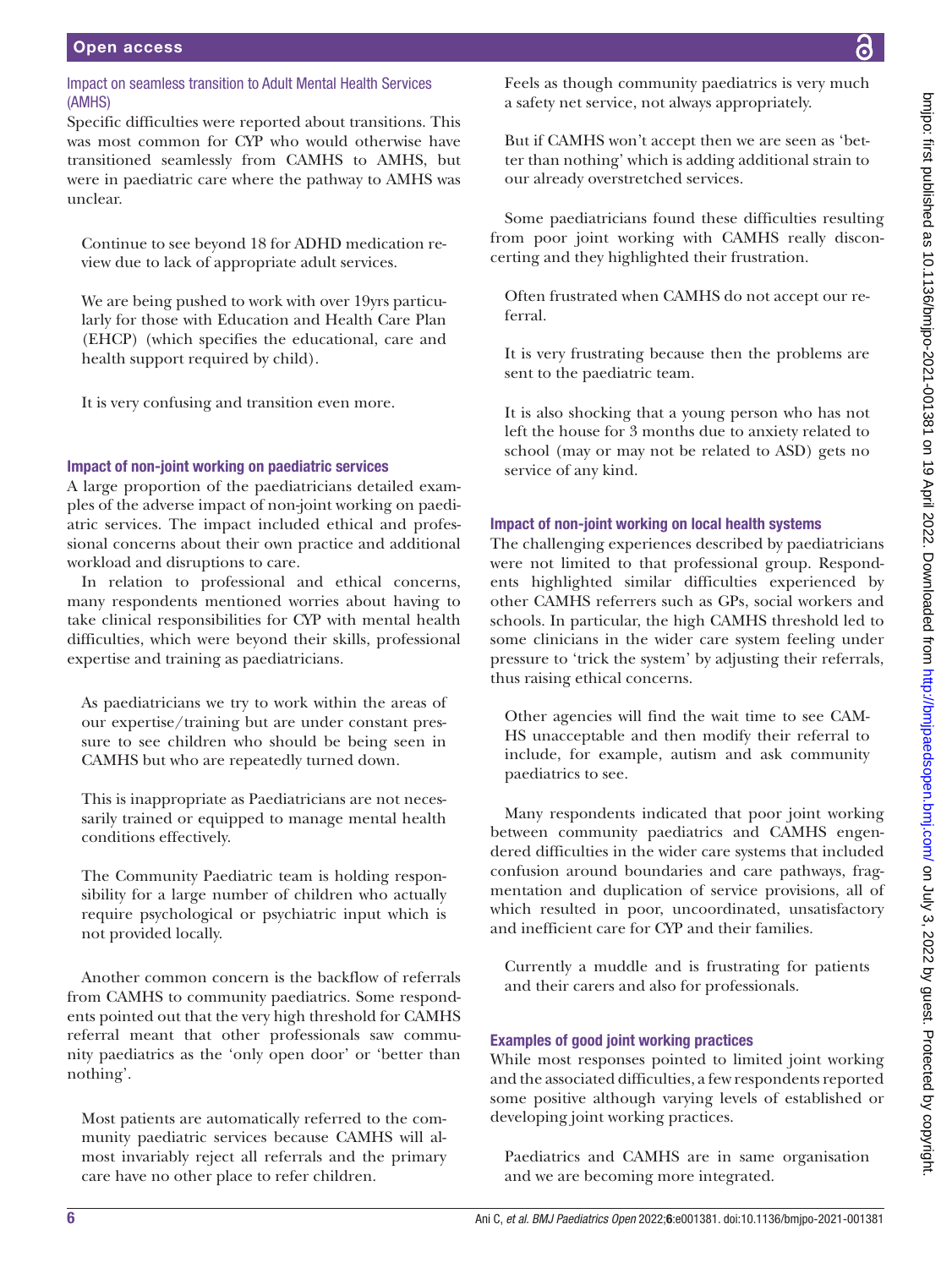# Impact on seamless transition to Adult Mental Health Services (AMHS)

Specific difficulties were reported about transitions. This was most common for CYP who would otherwise have transitioned seamlessly from CAMHS to AMHS, but were in paediatric care where the pathway to AMHS was unclear.

Continue to see beyond 18 for ADHD medication review due to lack of appropriate adult services.

We are being pushed to work with over 19yrs particularly for those with Education and Health Care Plan (EHCP) (which specifies the educational, care and health support required by child).

It is very confusing and transition even more.

# Impact of non-joint working on paediatric services

A large proportion of the paediatricians detailed examples of the adverse impact of non-joint working on paediatric services. The impact included ethical and professional concerns about their own practice and additional workload and disruptions to care.

In relation to professional and ethical concerns, many respondents mentioned worries about having to take clinical responsibilities for CYP with mental health difficulties, which were beyond their skills, professional expertise and training as paediatricians.

As paediatricians we try to work within the areas of our expertise/training but are under constant pressure to see children who should be being seen in CAMHS but who are repeatedly turned down.

This is inappropriate as Paediatricians are not necessarily trained or equipped to manage mental health conditions effectively.

The Community Paediatric team is holding responsibility for a large number of children who actually require psychological or psychiatric input which is not provided locally.

Another common concern is the backflow of referrals from CAMHS to community paediatrics. Some respondents pointed out that the very high threshold for CAMHS referral meant that other professionals saw community paediatrics as the 'only open door' or 'better than nothing'.

Most patients are automatically referred to the community paediatric services because CAMHS will almost invariably reject all referrals and the primary care have no other place to refer children.

Feels as though community paediatrics is very much a safety net service, not always appropriately.

But if CAMHS won't accept then we are seen as 'better than nothing' which is adding additional strain to our already overstretched services.

Some paediatricians found these difficulties resulting from poor joint working with CAMHS really disconcerting and they highlighted their frustration.

Often frustrated when CAMHS do not accept our referral.

It is very frustrating because then the problems are sent to the paediatric team.

It is also shocking that a young person who has not left the house for 3 months due to anxiety related to school (may or may not be related to ASD) gets no service of any kind.

## Impact of non-joint working on local health systems

The challenging experiences described by paediatricians were not limited to that professional group. Respondents highlighted similar difficulties experienced by other CAMHS referrers such as GPs, social workers and schools. In particular, the high CAMHS threshold led to some clinicians in the wider care system feeling under pressure to 'trick the system' by adjusting their referrals, thus raising ethical concerns.

Other agencies will find the wait time to see CAM-HS unacceptable and then modify their referral to include, for example, autism and ask community paediatrics to see.

Many respondents indicated that poor joint working between community paediatrics and CAMHS engendered difficulties in the wider care systems that included confusion around boundaries and care pathways, fragmentation and duplication of service provisions, all of which resulted in poor, uncoordinated, unsatisfactory and inefficient care for CYP and their families.

Currently a muddle and is frustrating for patients and their carers and also for professionals.

# Examples of good joint working practices

While most responses pointed to limited joint working and the associated difficulties, a few respondents reported some positive although varying levels of established or developing joint working practices.

Paediatrics and CAMHS are in same organisation and we are becoming more integrated.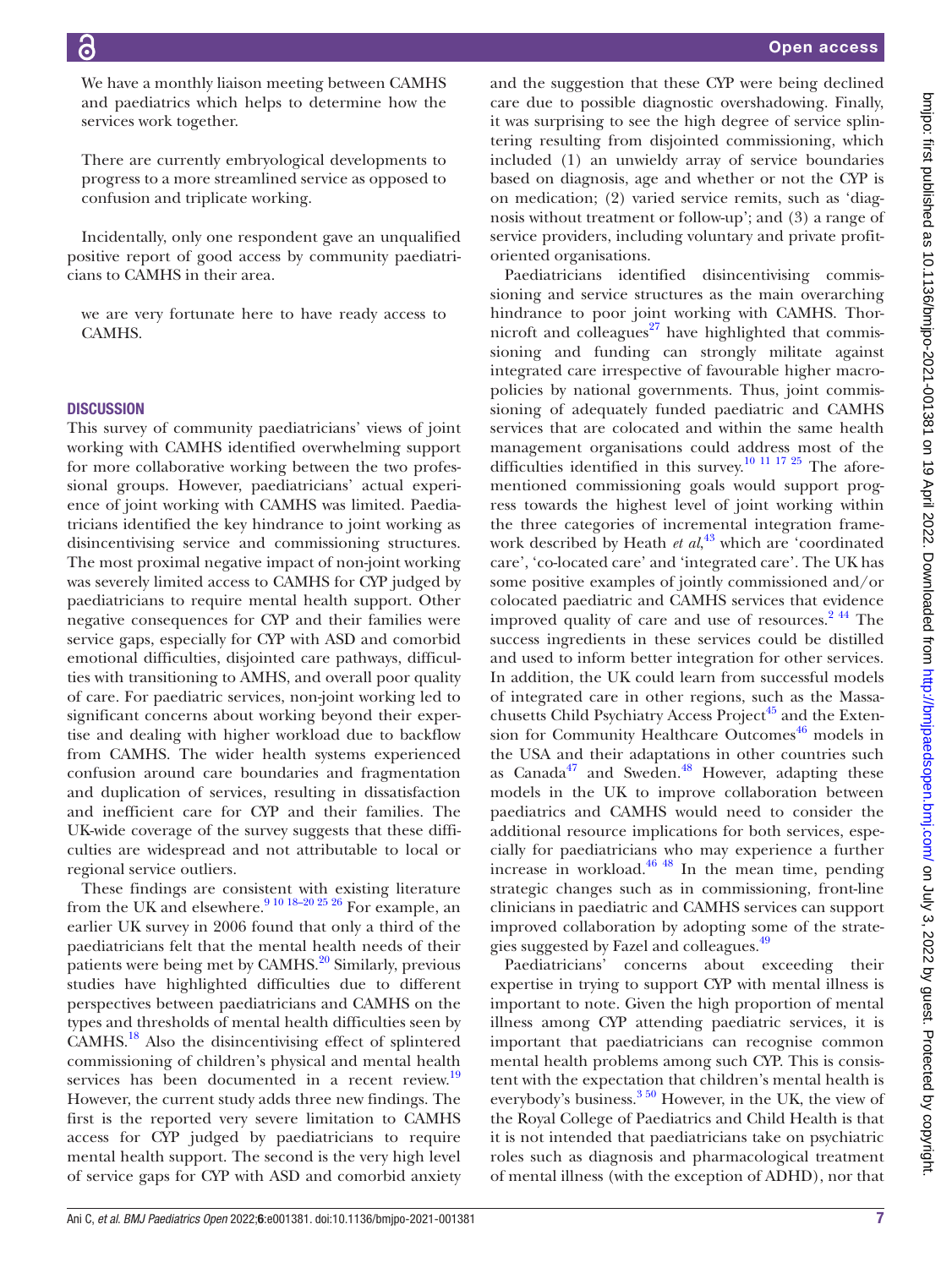We have a monthly liaison meeting between CAMHS and paediatrics which helps to determine how the services work together.

There are currently embryological developments to progress to a more streamlined service as opposed to confusion and triplicate working.

Incidentally, only one respondent gave an unqualified positive report of good access by community paediatricians to CAMHS in their area.

we are very fortunate here to have ready access to CAMHS.

#### **DISCUSSION**

This survey of community paediatricians' views of joint working with CAMHS identified overwhelming support for more collaborative working between the two professional groups. However, paediatricians' actual experience of joint working with CAMHS was limited. Paediatricians identified the key hindrance to joint working as disincentivising service and commissioning structures. The most proximal negative impact of non-joint working was severely limited access to CAMHS for CYP judged by paediatricians to require mental health support. Other negative consequences for CYP and their families were service gaps, especially for CYP with ASD and comorbid emotional difficulties, disjointed care pathways, difficulties with transitioning to AMHS, and overall poor quality of care. For paediatric services, non-joint working led to significant concerns about working beyond their expertise and dealing with higher workload due to backflow from CAMHS. The wider health systems experienced confusion around care boundaries and fragmentation and duplication of services, resulting in dissatisfaction and inefficient care for CYP and their families. The UK-wide coverage of the survey suggests that these difficulties are widespread and not attributable to local or regional service outliers.

These findings are consistent with existing literature from the UK and elsewhere.<sup>9 10 18–20 25 26</sup> For example, an earlier UK survey in 2006 found that only a third of the paediatricians felt that the mental health needs of their patients were being met by CAMHS.<sup>[20](#page-8-16)</sup> Similarly, previous studies have highlighted difficulties due to different perspectives between paediatricians and CAMHS on the types and thresholds of mental health difficulties seen by  $CAMHS$ <sup>18</sup> Also the disincentivising effect of splintered commissioning of children's physical and mental health services has been documented in a recent review.<sup>19</sup> However, the current study adds three new findings. The first is the reported very severe limitation to CAMHS access for CYP judged by paediatricians to require mental health support. The second is the very high level of service gaps for CYP with ASD and comorbid anxiety

and the suggestion that these CYP were being declined care due to possible diagnostic overshadowing. Finally, it was surprising to see the high degree of service splintering resulting from disjointed commissioning, which included (1) an unwieldy array of service boundaries based on diagnosis, age and whether or not the CYP is on medication; (2) varied service remits, such as 'diagnosis without treatment or follow-up'; and (3) a range of service providers, including voluntary and private profitoriented organisations.

Paediatricians identified disincentivising commissioning and service structures as the main overarching hindrance to poor joint working with CAMHS. Thornicroft and colleagues $^{27}$  have highlighted that commissioning and funding can strongly militate against integrated care irrespective of favourable higher macropolicies by national governments. Thus, joint commissioning of adequately funded paediatric and CAMHS services that are colocated and within the same health management organisations could address most of the difficulties identified in this survey.<sup>10 11 17 25</sup> The aforementioned commissioning goals would support progress towards the highest level of joint working within the three categories of incremental integration framework described by Heath *et al*, [43](#page-9-9) which are 'coordinated care', 'co-located care' and 'integrated care'. The UK has some positive examples of jointly commissioned and/or colocated paediatric and CAMHS services that evidence improved quality of care and use of resources.<sup>244</sup> The success ingredients in these services could be distilled and used to inform better integration for other services. In addition, the UK could learn from successful models of integrated care in other regions, such as the Massachusetts Child Psychiatry Access Project<sup>45</sup> and the Extension for Community Healthcare Outcomes<sup> $46$ </sup> models in the USA and their adaptations in other countries such as Canada<sup>47</sup> and Sweden.<sup>48</sup> However, adapting these models in the UK to improve collaboration between paediatrics and CAMHS would need to consider the additional resource implications for both services, especially for paediatricians who may experience a further increase in workload. $46 \frac{48}{10}$  In the mean time, pending strategic changes such as in commissioning, front-line clinicians in paediatric and CAMHS services can support improved collaboration by adopting some of the strategies suggested by Fazel and colleagues.<sup>49</sup>

Paediatricians' concerns about exceeding their expertise in trying to support CYP with mental illness is important to note. Given the high proportion of mental illness among CYP attending paediatric services, it is important that paediatricians can recognise common mental health problems among such CYP. This is consistent with the expectation that children's mental health is everybody's business.<sup>3 50</sup> However, in the UK, the view of the Royal College of Paediatrics and Child Health is that it is not intended that paediatricians take on psychiatric roles such as diagnosis and pharmacological treatment of mental illness (with the exception of ADHD), nor that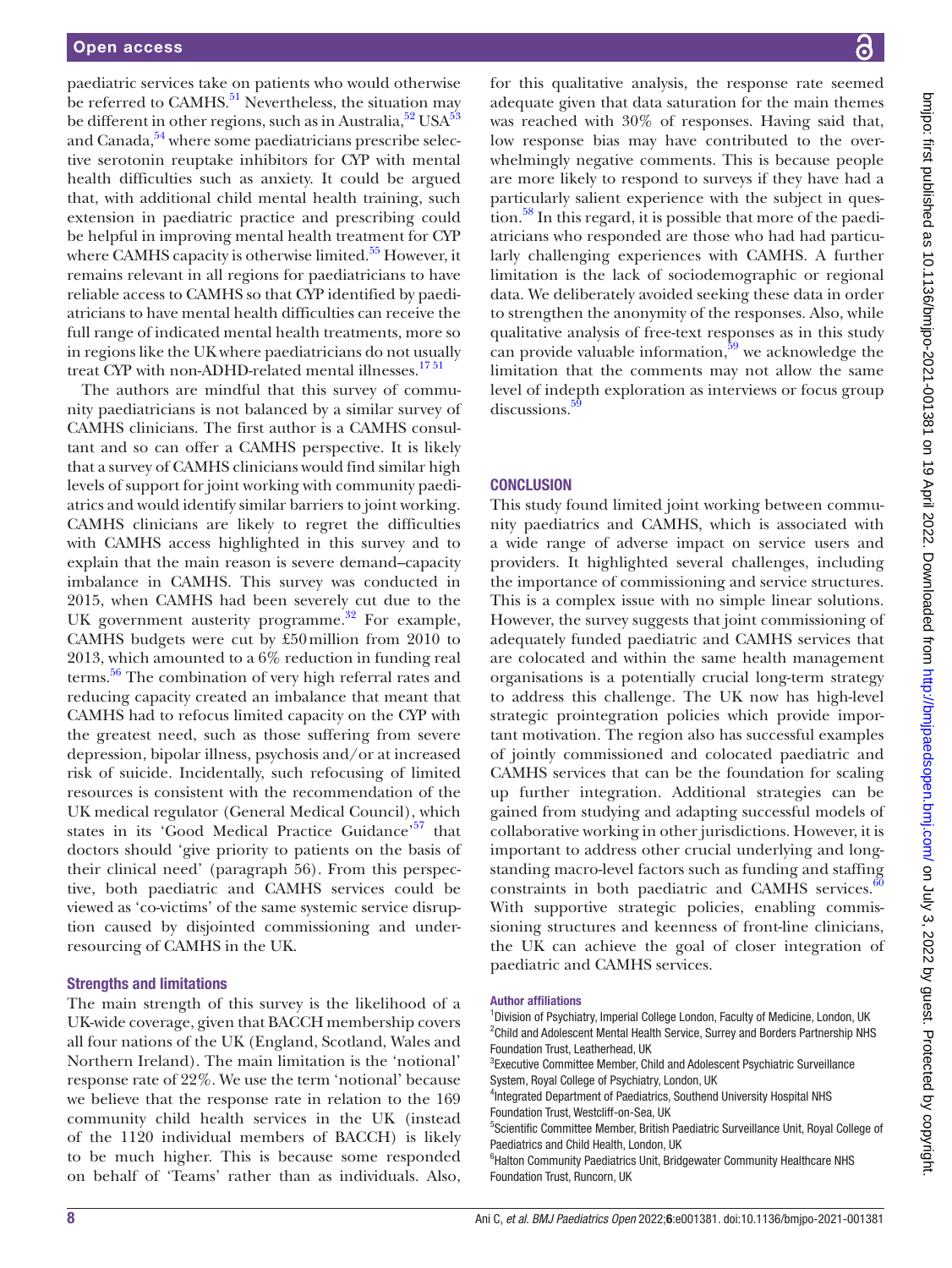paediatric services take on patients who would otherwise be referred to CAMHS.<sup>51</sup> Nevertheless, the situation may be different in other regions, such as in Australia, $52 \text{ USA}$  $52 \text{ USA}$ and Canada, $54$  where some paediatricians prescribe selective serotonin reuptake inhibitors for CYP with mental health difficulties such as anxiety. It could be argued that, with additional child mental health training, such extension in paediatric practice and prescribing could be helpful in improving mental health treatment for CYP where CAMHS capacity is otherwise limited.<sup>55</sup> However, it remains relevant in all regions for paediatricians to have reliable access to CAMHS so that CYP identified by paediatricians to have mental health difficulties can receive the full range of indicated mental health treatments, more so in regions like the UK where paediatricians do not usually treat CYP with non-ADHD-related mental illnesses.<sup>1751</sup>

The authors are mindful that this survey of community paediatricians is not balanced by a similar survey of CAMHS clinicians. The first author is a CAMHS consultant and so can offer a CAMHS perspective. It is likely that a survey of CAMHS clinicians would find similar high levels of support for joint working with community paediatrics and would identify similar barriers to joint working. CAMHS clinicians are likely to regret the difficulties with CAMHS access highlighted in this survey and to explain that the main reason is severe demand–capacity imbalance in CAMHS. This survey was conducted in 2015, when CAMHS had been severely cut due to the UK government austerity programme.<sup>32</sup> For example, CAMHS budgets were cut by £50million from 2010 to 2013, which amounted to a 6% reduction in funding real terms.<sup>56</sup> The combination of very high referral rates and reducing capacity created an imbalance that meant that CAMHS had to refocus limited capacity on the CYP with the greatest need, such as those suffering from severe depression, bipolar illness, psychosis and/or at increased risk of suicide. Incidentally, such refocusing of limited resources is consistent with the recommendation of the UK medical regulator (General Medical Council), which states in its 'Good Medical Practice Guidance'<sup>57</sup> that doctors should 'give priority to patients on the basis of their clinical need' (paragraph 56). From this perspective, both paediatric and CAMHS services could be viewed as 'co-victims' of the same systemic service disruption caused by disjointed commissioning and underresourcing of CAMHS in the UK.

#### Strengths and limitations

The main strength of this survey is the likelihood of a UK-wide coverage, given that BACCH membership covers all four nations of the UK (England, Scotland, Wales and Northern Ireland). The main limitation is the 'notional' response rate of 22%. We use the term 'notional' because we believe that the response rate in relation to the 169 community child health services in the UK (instead of the 1120 individual members of BACCH) is likely to be much higher. This is because some responded on behalf of 'Teams' rather than as individuals. Also,

for this qualitative analysis, the response rate seemed adequate given that data saturation for the main themes was reached with 30% of responses. Having said that, low response bias may have contributed to the overwhelmingly negative comments. This is because people are more likely to respond to surveys if they have had a particularly salient experience with the subject in question.<sup>58</sup> In this regard, it is possible that more of the paediatricians who responded are those who had had particularly challenging experiences with CAMHS. A further limitation is the lack of sociodemographic or regional data. We deliberately avoided seeking these data in order to strengthen the anonymity of the responses. Also, while qualitative analysis of free-text responses as in this study can provide valuable information,  $59$  we acknowledge the limitation that the comments may not allow the same level of indepth exploration as interviews or focus group discussions.<sup>5</sup>

#### **CONCLUSION**

This study found limited joint working between community paediatrics and CAMHS, which is associated with a wide range of adverse impact on service users and providers. It highlighted several challenges, including the importance of commissioning and service structures. This is a complex issue with no simple linear solutions. However, the survey suggests that joint commissioning of adequately funded paediatric and CAMHS services that are colocated and within the same health management organisations is a potentially crucial long-term strategy to address this challenge. The UK now has high-level strategic prointegration policies which provide important motivation. The region also has successful examples of jointly commissioned and colocated paediatric and CAMHS services that can be the foundation for scaling up further integration. Additional strategies can be gained from studying and adapting successful models of collaborative working in other jurisdictions. However, it is important to address other crucial underlying and longstanding macro-level factors such as funding and staffing constraints in both paediatric and CAMHS services. $\frac{60}{60}$  $\frac{60}{60}$  $\frac{60}{60}$ With supportive strategic policies, enabling commissioning structures and keenness of front-line clinicians, the UK can achieve the goal of closer integration of paediatric and CAMHS services.

#### Author affiliations

<sup>1</sup> Division of Psychiatry, Imperial College London, Faculty of Medicine, London, UK <sup>2</sup>Child and Adolescent Mental Health Service, Surrey and Borders Partnership NHS Foundation Trust, Leatherhead, UK

<sup>3</sup> Executive Committee Member, Child and Adolescent Psychiatric Surveillance System, Royal College of Psychiatry, London, UK

4 Integrated Department of Paediatrics, Southend University Hospital NHS Foundation Trust, Westcliff-on-Sea, UK

<sup>5</sup>Scientific Committee Member, British Paediatric Surveillance Unit, Royal College of Paediatrics and Child Health, London, UK

<sup>6</sup>Halton Community Paediatrics Unit, Bridgewater Community Healthcare NHS Foundation Trust, Runcorn, UK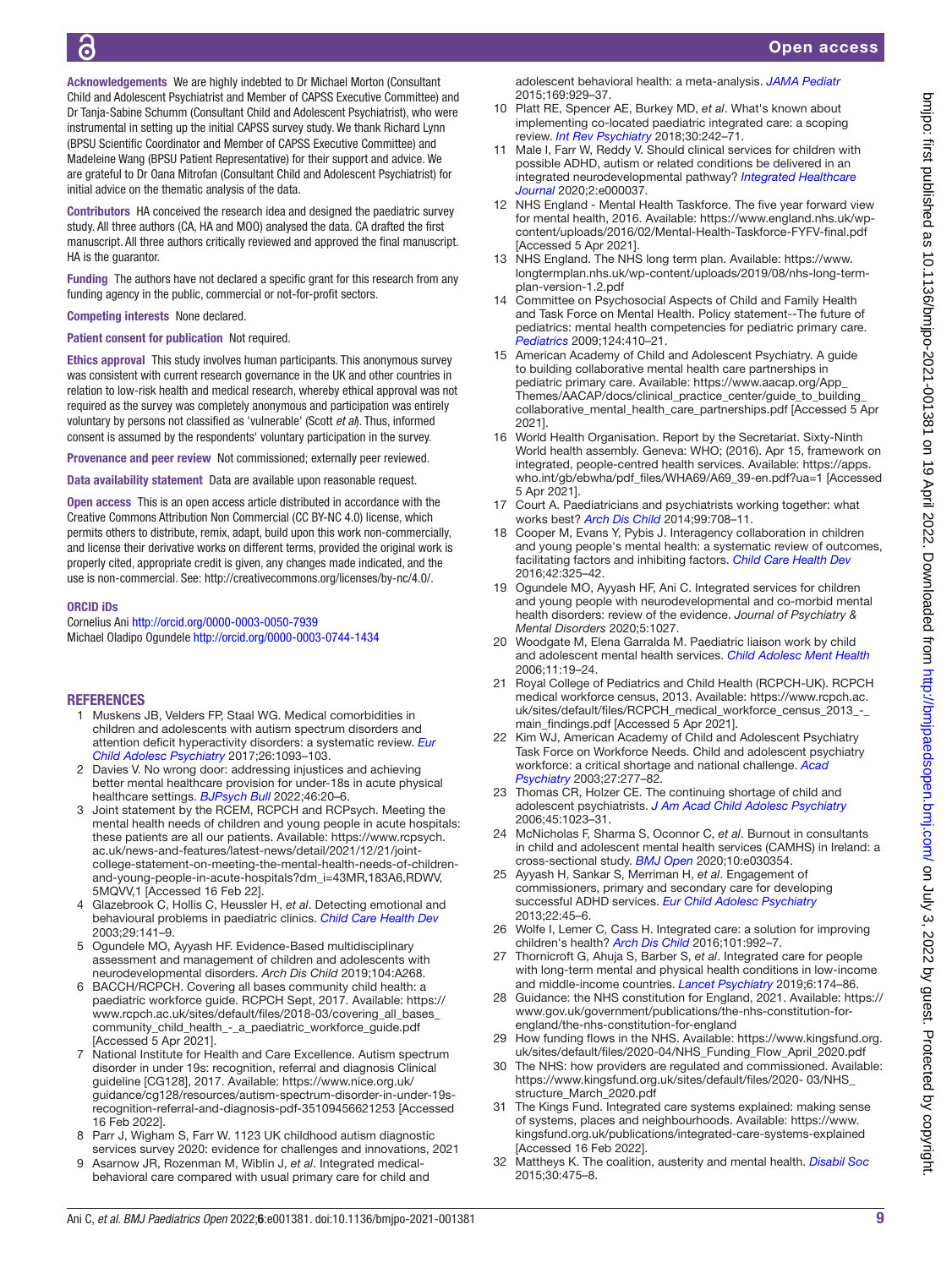Acknowledgements We are highly indebted to Dr Michael Morton (Consultant Child and Adolescent Psychiatrist and Member of CAPSS Executive Committee) and Dr Tanja-Sabine Schumm (Consultant Child and Adolescent Psychiatrist), who were instrumental in setting up the initial CAPSS survey study. We thank Richard Lynn (BPSU Scientific Coordinator and Member of CAPSS Executive Committee) and Madeleine Wang (BPSU Patient Representative) for their support and advice. We are grateful to Dr Oana Mitrofan (Consultant Child and Adolescent Psychiatrist) for initial advice on the thematic analysis of the data.

Contributors HA conceived the research idea and designed the paediatric survey study. All three authors (CA, HA and MOO) analysed the data. CA drafted the first manuscript. All three authors critically reviewed and approved the final manuscript. HA is the guarantor.

Funding The authors have not declared a specific grant for this research from any funding agency in the public, commercial or not-for-profit sectors.

#### Competing interests None declared.

Patient consent for publication Not required.

Ethics approval This study involves human participants. This anonymous survey was consistent with current research governance in the UK and other countries in relation to low-risk health and medical research, whereby ethical approval was not required as the survey was completely anonymous and participation was entirely voluntary by persons not classified as 'vulnerable' (Scott *et al*). Thus, informed consent is assumed by the respondents' voluntary participation in the survey.

Provenance and peer review Not commissioned; externally peer reviewed.

Data availability statement Data are available upon reasonable request.

Open access This is an open access article distributed in accordance with the Creative Commons Attribution Non Commercial (CC BY-NC 4.0) license, which permits others to distribute, remix, adapt, build upon this work non-commercially, and license their derivative works on different terms, provided the original work is properly cited, appropriate credit is given, any changes made indicated, and the use is non-commercial. See:<http://creativecommons.org/licenses/by-nc/4.0/>.

#### ORCID iDs

Cornelius Ani <http://orcid.org/0000-0003-0050-7939> Michael Oladipo Ogundele<http://orcid.org/0000-0003-0744-1434>

#### **REFERENCES**

- <span id="page-8-2"></span>1 Muskens JB, Velders FP, Staal WG. Medical comorbidities in children and adolescents with autism spectrum disorders and attention deficit hyperactivity disorders: a systematic review. *[Eur](http://dx.doi.org/10.1007/s00787-017-1020-0)  [Child Adolesc Psychiatry](http://dx.doi.org/10.1007/s00787-017-1020-0)* 2017;26:1093–103.
- <span id="page-8-0"></span>2 Davies V. No wrong door: addressing injustices and achieving better mental healthcare provision for under-18s in acute physical healthcare settings. *[BJPsych Bull](http://dx.doi.org/10.1192/bjb.2021.1)* 2022;46:20–6.
- <span id="page-8-11"></span>3 Joint statement by the RCEM, RCPCH and RCPsych. Meeting the mental health needs of children and young people in acute hospitals: these patients are all our patients. Available: [https://www.rcpsych.](https://www.rcpsych.ac.uk/news-and-features/latest-news/detail/2021/12/21/joint-college-statement-on-meeting-the-mental-health-needs-of-children-and-young-people-in-acute-hospitals?dm_i=43MR,183A6,RDWV,5MQVV,1) [ac.uk/news-and-features/latest-news/detail/2021/12/21/joint](https://www.rcpsych.ac.uk/news-and-features/latest-news/detail/2021/12/21/joint-college-statement-on-meeting-the-mental-health-needs-of-children-and-young-people-in-acute-hospitals?dm_i=43MR,183A6,RDWV,5MQVV,1)[college-statement-on-meeting-the-mental-health-needs-of-children](https://www.rcpsych.ac.uk/news-and-features/latest-news/detail/2021/12/21/joint-college-statement-on-meeting-the-mental-health-needs-of-children-and-young-people-in-acute-hospitals?dm_i=43MR,183A6,RDWV,5MQVV,1)[and-young-people-in-acute-hospitals?dm\\_i=43MR,183A6,RDWV,](https://www.rcpsych.ac.uk/news-and-features/latest-news/detail/2021/12/21/joint-college-statement-on-meeting-the-mental-health-needs-of-children-and-young-people-in-acute-hospitals?dm_i=43MR,183A6,RDWV,5MQVV,1) [5MQVV,1](https://www.rcpsych.ac.uk/news-and-features/latest-news/detail/2021/12/21/joint-college-statement-on-meeting-the-mental-health-needs-of-children-and-young-people-in-acute-hospitals?dm_i=43MR,183A6,RDWV,5MQVV,1) [Accessed 16 Feb 22].
- <span id="page-8-1"></span>4 Glazebrook C, Hollis C, Heussler H, *et al*. Detecting emotional and behavioural problems in paediatric clinics. *[Child Care Health Dev](http://dx.doi.org/10.1046/j.1365-2214.2003.00324.x)* 2003;29:141–9.
- <span id="page-8-3"></span>5 Ogundele MO, Ayyash HF. Evidence-Based multidisciplinary assessment and management of children and adolescents with neurodevelopmental disorders. *Arch Dis Child* 2019;104:A268.
- <span id="page-8-4"></span>6 BACCH/RCPCH. Covering all bases community child health: a paediatric workforce guide. RCPCH Sept, 2017. Available: [https://](https://www.rcpch.ac.uk/sites/default/files/2018-03/covering_all_bases_community_child_health_-_a_paediatric_workforce_guide.pdf) [www.rcpch.ac.uk/sites/default/files/2018-03/covering\\_all\\_bases\\_](https://www.rcpch.ac.uk/sites/default/files/2018-03/covering_all_bases_community_child_health_-_a_paediatric_workforce_guide.pdf) [community\\_child\\_health\\_-\\_a\\_paediatric\\_workforce\\_guide.pdf](https://www.rcpch.ac.uk/sites/default/files/2018-03/covering_all_bases_community_child_health_-_a_paediatric_workforce_guide.pdf) [Accessed 5 Apr 2021].
- <span id="page-8-5"></span>7 National Institute for Health and Care Excellence. Autism spectrum disorder in under 19s: recognition, referral and diagnosis Clinical guideline [CG128], 2017. Available: [https://www.nice.org.uk/](https://www.nice.org.uk/guidance/cg128/resources/autism-spectrum-disorder-in-under-19s-recognition-referral-and-diagnosis-pdf-35109456621253) [guidance/cg128/resources/autism-spectrum-disorder-in-under-19s](https://www.nice.org.uk/guidance/cg128/resources/autism-spectrum-disorder-in-under-19s-recognition-referral-and-diagnosis-pdf-35109456621253)[recognition-referral-and-diagnosis-pdf-35109456621253](https://www.nice.org.uk/guidance/cg128/resources/autism-spectrum-disorder-in-under-19s-recognition-referral-and-diagnosis-pdf-35109456621253) [Accessed 16 Feb 2022].
- <span id="page-8-6"></span>8 Parr J, Wigham S, Farr W. 1123 UK childhood autism diagnostic services survey 2020: evidence for challenges and innovations, 2021
- <span id="page-8-7"></span>9 Asarnow JR, Rozenman M, Wiblin J, *et al*. Integrated medicalbehavioral care compared with usual primary care for child and

adolescent behavioral health: a meta-analysis. *[JAMA Pediatr](http://dx.doi.org/10.1001/jamapediatrics.2015.1141)* 2015;169:929–37.

- <span id="page-8-30"></span>10 Platt RE, Spencer AE, Burkey MD, *et al*. What's known about implementing co-located paediatric integrated care: a scoping review. *[Int Rev Psychiatry](http://dx.doi.org/10.1080/09540261.2018.1563530)* 2018;30:242–71.
- <span id="page-8-8"></span>11 Male I, Farr W, Reddy V. Should clinical services for children with possible ADHD, autism or related conditions be delivered in an integrated neurodevelopmental pathway? *[Integrated Healthcare](http://dx.doi.org/10.1136/ihj-2019-000037)  [Journal](http://dx.doi.org/10.1136/ihj-2019-000037)* 2020;2:e000037.
- <span id="page-8-9"></span>12 NHS England - Mental Health Taskforce. The five year forward view for mental health, 2016. Available: [https://www.england.nhs.uk/wp](https://www.england.nhs.uk/wp-content/uploads/2016/02/Mental-Health-Taskforce-FYFV-final.pdf)[content/uploads/2016/02/Mental-Health-Taskforce-FYFV-final.pdf](https://www.england.nhs.uk/wp-content/uploads/2016/02/Mental-Health-Taskforce-FYFV-final.pdf)  [Accessed 5 Apr 2021].
- <span id="page-8-10"></span>13 NHS England. The NHS long term plan. Available: [https://www.](https://www.longtermplan.nhs.uk/wp-content/uploads/2019/08/nhs-long-term-plan-version-1.2.pdf) [longtermplan.nhs.uk/wp-content/uploads/2019/08/nhs-long-term](https://www.longtermplan.nhs.uk/wp-content/uploads/2019/08/nhs-long-term-plan-version-1.2.pdf)[plan-version-1.2.pdf](https://www.longtermplan.nhs.uk/wp-content/uploads/2019/08/nhs-long-term-plan-version-1.2.pdf)
- <span id="page-8-12"></span>14 Committee on Psychosocial Aspects of Child and Family Health and Task Force on Mental Health. Policy statement--The future of pediatrics: mental health competencies for pediatric primary care. *[Pediatrics](http://dx.doi.org/10.1542/peds.2009-1061)* 2009;124:410–21.
- <span id="page-8-13"></span>15 American Academy of Child and Adolescent Psychiatry. A guide to building collaborative mental health care partnerships in pediatric primary care. Available: https://www.aacap.org/App [Themes/AACAP/docs/clinical\\_practice\\_center/guide\\_to\\_building\\_](https://www.aacap.org/App_Themes/AACAP/docs/clinical_practice_center/guide_to_building_collaborative_mental_health_care_partnerships.pdf) [collaborative\\_mental\\_health\\_care\\_partnerships.pdf](https://www.aacap.org/App_Themes/AACAP/docs/clinical_practice_center/guide_to_building_collaborative_mental_health_care_partnerships.pdf) [Accessed 5 Apr 2021].
- <span id="page-8-14"></span>16 World Health Organisation. Report by the Secretariat. Sixty-Ninth World health assembly. Geneva: WHO; (2016). Apr 15, framework on integrated, people-centred health services. Available: [https://apps.](https://apps.who.int/gb/ebwha/pdf_files/WHA69/A69_39-en.pdf?ua=1) [who.int/gb/ebwha/pdf\\_files/WHA69/A69\\_39-en.pdf?ua=1](https://apps.who.int/gb/ebwha/pdf_files/WHA69/A69_39-en.pdf?ua=1) [Accessed 5 Apr 2021].
- <span id="page-8-15"></span>17 Court A. Paediatricians and psychiatrists working together: what works best? *[Arch Dis Child](http://dx.doi.org/10.1136/archdischild-2013-304594)* 2014;99:708–11.
- <span id="page-8-28"></span>18 Cooper M, Evans Y, Pybis J. Interagency collaboration in children and young people's mental health: a systematic review of outcomes, facilitating factors and inhibiting factors. *[Child Care Health Dev](http://dx.doi.org/10.1111/cch.12322)* 2016;42:325–42.
- <span id="page-8-22"></span>19 Ogundele MO, Ayyash HF, Ani C. Integrated services for children and young people with neurodevelopmental and co-morbid mental health disorders: review of the evidence. *Journal of Psychiatry & Mental Disorders* 2020;5:1027.
- <span id="page-8-16"></span>20 Woodgate M, Elena Garralda M. Paediatric liaison work by child and adolescent mental health services. *[Child Adolesc Ment Health](http://dx.doi.org/10.1111/j.1475-3588.2005.00373.x)* 2006;11:19–24.
- <span id="page-8-17"></span>21 Royal College of Pediatrics and Child Health (RCPCH-UK). RCPCH medical workforce census, 2013. Available: [https://www.rcpch.ac.](https://www.rcpch.ac.uk/sites/default/files/RCPCH_medical_workforce_census_2013_-_main_findings.pdf) [uk/sites/default/files/RCPCH\\_medical\\_workforce\\_census\\_2013\\_-\\_](https://www.rcpch.ac.uk/sites/default/files/RCPCH_medical_workforce_census_2013_-_main_findings.pdf) [main\\_findings.pdf](https://www.rcpch.ac.uk/sites/default/files/RCPCH_medical_workforce_census_2013_-_main_findings.pdf) [Accessed 5 Apr 2021].
- <span id="page-8-18"></span>22 Kim WJ, American Academy of Child and Adolescent Psychiatry Task Force on Workforce Needs. Child and adolescent psychiatry workforce: a critical shortage and national challenge. *[Acad](http://dx.doi.org/10.1176/appi.ap.27.4.277)  [Psychiatry](http://dx.doi.org/10.1176/appi.ap.27.4.277)* 2003;27:277–82.
- 23 Thomas CR, Holzer CE. The continuing shortage of child and adolescent psychiatrists. *[J Am Acad Child Adolesc Psychiatry](http://dx.doi.org/10.1097/01.chi.0000225353.16831.5d)* 2006;45:1023–31.
- <span id="page-8-19"></span>24 McNicholas F, Sharma S, Oconnor C, *et al*. Burnout in consultants in child and adolescent mental health services (CAMHS) in Ireland: a cross-sectional study. *[BMJ Open](http://dx.doi.org/10.1136/bmjopen-2019-030354)* 2020;10:e030354.
- <span id="page-8-20"></span>25 Ayyash H, Sankar S, Merriman H, *et al*. Engagement of commissioners, primary and secondary care for developing successful ADHD services. *[Eur Child Adolesc Psychiatry](http://dx.doi.org/10.1007/s00787-012-0321-6)* 2013;22:45–6.
- <span id="page-8-21"></span>26 Wolfe I, Lemer C, Cass H. Integrated care: a solution for improving children's health? *[Arch Dis Child](http://dx.doi.org/10.1136/archdischild-2013-304442)* 2016;101:992–7.
- <span id="page-8-29"></span>27 Thornicroft G, Ahuja S, Barber S, *et al*. Integrated care for people with long-term mental and physical health conditions in low-income and middle-income countries. *[Lancet Psychiatry](http://dx.doi.org/10.1016/S2215-0366(18)30298-0)* 2019;6:174–86.
- <span id="page-8-23"></span>28 Guidance: the NHS constitution for England, 2021. Available: [https://](https://www.gov.uk/government/publications/the-nhs-constitution-for-england/the-nhs-constitution-for-england) [www.gov.uk/government/publications/the-nhs-constitution-for](https://www.gov.uk/government/publications/the-nhs-constitution-for-england/the-nhs-constitution-for-england)[england/the-nhs-constitution-for-england](https://www.gov.uk/government/publications/the-nhs-constitution-for-england/the-nhs-constitution-for-england)
- <span id="page-8-24"></span>29 How funding flows in the NHS. Available: [https://www.kingsfund.org.](https://www.kingsfund.org.uk/sites/default/files/2020-04/NHS_Funding_Flow_April_2020.pdf) [uk/sites/default/files/2020-04/NHS\\_Funding\\_Flow\\_April\\_2020.pdf](https://www.kingsfund.org.uk/sites/default/files/2020-04/NHS_Funding_Flow_April_2020.pdf)
- <span id="page-8-26"></span>30 The NHS: how providers are regulated and commissioned. Available: [https://www.kingsfund.org.uk/sites/default/files/2020- 03/NHS\\_](https://www.kingsfund.org.uk/sites/default/files/2020-%2003/NHS_structure_March_2020.pdf) [structure\\_March\\_2020.pdf](https://www.kingsfund.org.uk/sites/default/files/2020-%2003/NHS_structure_March_2020.pdf)
- <span id="page-8-25"></span>31 The Kings Fund. Integrated care systems explained: making sense of systems, places and neighbourhoods. Available: [https://www.](https://www.kingsfund.org.uk/publications/integrated-care-systems-explained) [kingsfund.org.uk/publications/integrated-care-systems-explained](https://www.kingsfund.org.uk/publications/integrated-care-systems-explained)  [Accessed 16 Feb 2022].
- <span id="page-8-27"></span>32 Mattheys K. The coalition, austerity and mental health. *[Disabil Soc](http://dx.doi.org/10.1080/09687599.2014.1000513)* 2015;30:475–8.